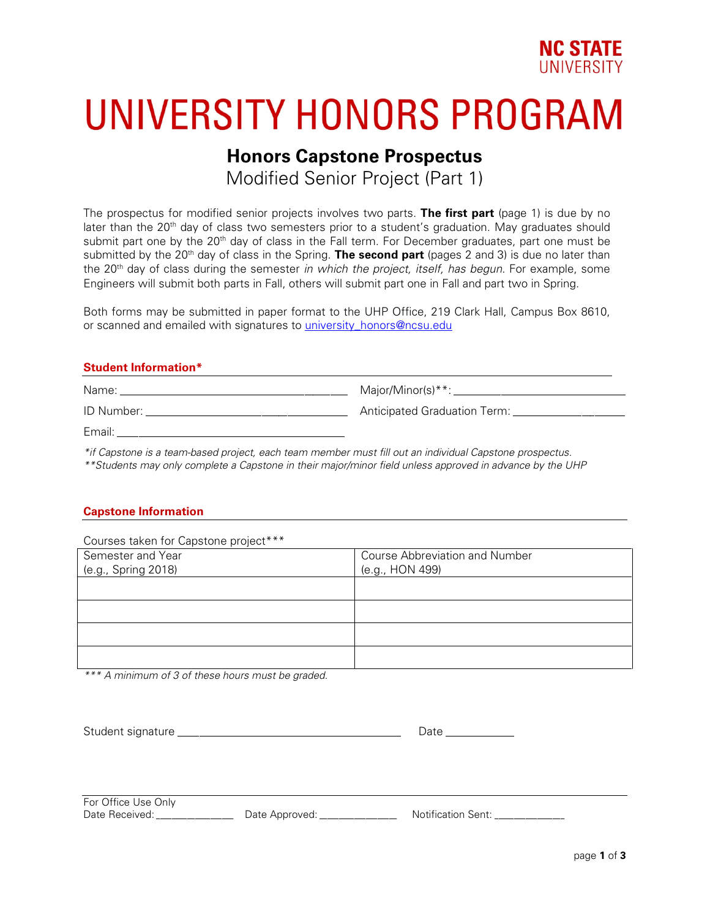

# UNIVERSITY HONORS PROGRAM

### **Honors Capstone Prospectus**

Modified Senior Project (Part 1)

The prospectus for modified senior projects involves two parts. **The first part** (page 1) is due by no later than the 20<sup>th</sup> day of class two semesters prior to a student's graduation. May graduates should submit part one by the 20<sup>th</sup> day of class in the Fall term. For December graduates, part one must be submitted by the 20<sup>th</sup> day of class in the Spring. **The second part** (pages 2 and 3) is due no later than the 20th day of class during the semester *in which the project, itself, has begun*. For example, some Engineers will submit both parts in Fall, others will submit part one in Fall and part two in Spring.

Both forms may be submitted in paper format to the UHP Office, 219 Clark Hall, Campus Box 8610, or scanned and emailed with signatures to *university* honors@ncsu.edu

#### **Student Information\***

| Name:      | Major/Minor(s)**:            |
|------------|------------------------------|
| ID Number: | Anticipated Graduation Term: |
| Email:     |                              |

*\*if Capstone is a team-based project, each team member must fill out an individual Capstone prospectus.*

*\*\*Students may only complete a Capstone in their major/minor field unless approved in advance by the UHP*

#### **Capstone Information**

| Courses taken for Capstone project*** |                                       |
|---------------------------------------|---------------------------------------|
| Semester and Year                     | <b>Course Abbreviation and Number</b> |
| (e.g., Spring 2018)                   | (e.g., HON 499)                       |
|                                       |                                       |
|                                       |                                       |
|                                       |                                       |
|                                       |                                       |
|                                       |                                       |
|                                       |                                       |

*\*\*\* A minimum of 3 of these hours must be graded.* 

| $\sim$<br>~<br>$-1$<br>___ |  |
|----------------------------|--|
|----------------------------|--|

For Office Use Only

Date Received: <br>
Date Approved: 
<br>
Date Approved:  $\blacksquare$  Notification Sent: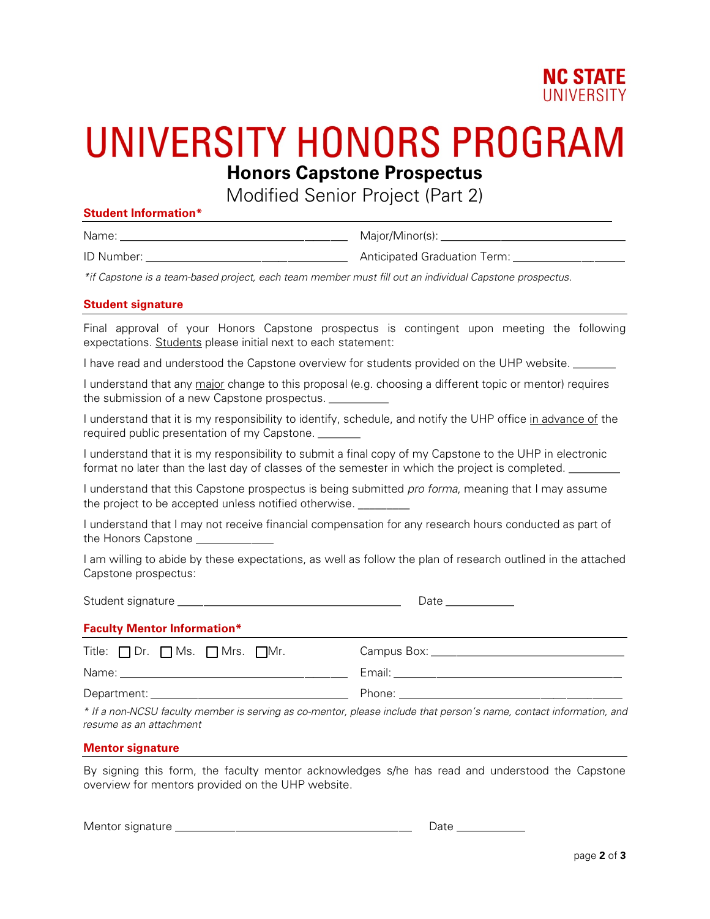

### UNIVERSITY HONORS PROGRAM **Honors Capstone Prospectus**

Modified Senior Project (Part 2)

#### **Student Information\***

Name: \_\_\_\_\_\_\_\_\_\_\_\_\_\_\_\_\_\_\_\_\_\_\_\_\_\_\_\_\_\_\_\_\_\_\_\_\_\_\_\_\_\_\_\_\_\_\_\_\_\_\_\_\_ Major/Minor(s): \_\_\_\_\_\_\_\_\_\_\_\_\_\_\_\_\_\_\_\_\_\_\_\_\_\_\_\_\_\_\_\_\_\_\_\_\_\_\_\_\_\_\_

ID Number: \_\_\_\_\_\_\_\_\_\_\_\_\_\_\_\_\_\_\_\_\_\_\_\_\_\_\_\_\_\_\_\_\_\_\_\_\_\_\_\_\_\_\_\_\_\_\_ Anticipated Graduation Term: \_\_\_\_\_\_\_\_\_\_\_\_\_\_\_\_\_\_\_\_\_\_\_\_\_\_

*\*if Capstone is a team-based project, each team member must fill out an individual Capstone prospectus.*

#### **Student signature**

Final approval of your Honors Capstone prospectus is contingent upon meeting the following expectations. Students please initial next to each statement:

I have read and understood the Capstone overview for students provided on the UHP website. \_\_\_\_\_\_\_

I understand that any major change to this proposal (e.g. choosing a different topic or mentor) requires the submission of a new Capstone prospectus.

I understand that it is my responsibility to identify, schedule, and notify the UHP office in advance of the required public presentation of my Capstone. \_\_\_\_\_\_\_

I understand that it is my responsibility to submit a final copy of my Capstone to the UHP in electronic format no later than the last day of classes of the semester in which the project is completed. \_\_\_\_\_\_\_\_\_\_\_\_\_\_

I understand that this Capstone prospectus is being submitted *pro forma*, meaning that I may assume the project to be accepted unless notified otherwise.

I understand that I may not receive financial compensation for any research hours conducted as part of the Honors Capstone

I am willing to abide by these expectations, as well as follow the plan of research outlined in the attached Capstone prospectus:

Student signature \_\_\_\_\_\_\_\_\_\_\_\_\_\_\_\_\_\_\_\_\_\_\_\_\_\_\_\_\_\_\_\_\_\_\_\_\_\_\_\_\_\_\_\_\_\_\_\_\_\_\_\_ Date \_\_\_\_\_\_\_\_\_\_\_\_\_\_\_\_

#### **Faculty Mentor Information\***

| Title: $\Box$ Dr. $\Box$ Ms. $\Box$ Mrs. $\Box$ Mr. | Campus Box: |
|-----------------------------------------------------|-------------|
| Name:                                               | Email:      |
| Department:                                         | Phone:      |

*\* If a non-NCSU faculty member is serving as co-mentor, please include that person's name, contact information, and resume as an attachment*

#### **Mentor signature**

By signing this form, the faculty mentor acknowledges s/he has read and understood the Capstone overview for mentors provided on the UHP website.

Mentor signature \_\_\_\_\_\_\_\_\_\_\_\_\_\_\_\_\_\_\_\_\_\_\_\_\_\_\_\_\_\_\_\_\_\_\_\_\_\_\_\_\_\_\_\_\_\_\_\_\_\_\_\_\_\_\_ Date \_\_\_\_\_\_\_\_\_\_\_\_\_\_\_\_